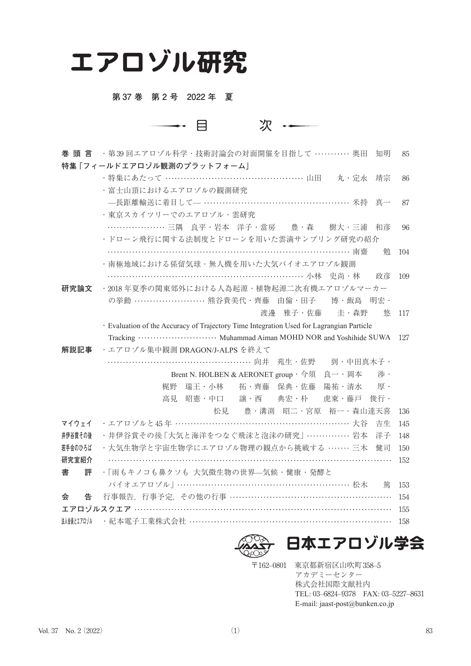# エアロゾル研究

#### 第 37 巻 第 2 号 2022 年 夏

次 …  $\longrightarrow$   $\Box$ 

| 巻 頭 言                     | ・第39回エアロゾル科学・技術討論会の対面開催を目指して ………… 奥田<br>知明                                               | 85  |  |
|---------------------------|------------------------------------------------------------------------------------------|-----|--|
| 特集「フィールドエアロゾル観測のプラットフォーム」 |                                                                                          |     |  |
|                           | ・特集にあたって …………………………………………… 山田 ― 丸・定永<br>靖宗                                               | 86  |  |
|                           | ・富士山頂におけるエアロゾルの観測研究                                                                      |     |  |
|                           | -- 長距離輸送に着目して- …………………………………………… 米持 真一                                                   | 87  |  |
|                           | ・東京スカイツリーでのエアロゾル・雲研究                                                                     |     |  |
|                           | 三隅 良平・岩本 洋子・當房  豊・森  樹大・三浦<br>和彦                                                         | 96  |  |
|                           | ・ドローン飛行に関する法制度とドローンを用いた雲滴サンプリング研究の紹介                                                     |     |  |
|                           | ………………………………………………………………… 南齋<br>勉                                                        | 104 |  |
|                           | ・南極地域における係留気球・無人機を用いた大気バイオエアロゾル観測                                                        |     |  |
|                           | 政彦                                                                                       | 109 |  |
| 研究論文                      | ・2018年夏季の関東郊外における人為起源・植物起源二次有機エアロゾルマーカー                                                  |     |  |
|                           | の挙動 ……………………… 熊谷貴美代・齊藤 由倫・田子 博・飯島 明宏・                                                    |     |  |
|                           | 渡邊 雅子・佐藤 主・森野<br>悠                                                                       | 117 |  |
|                           | · Evaluation of the Accuracy of Trajectory Time Integration Used for Lagrangian Particle |     |  |
|                           |                                                                                          | 127 |  |
| 解説記事                      | ·エアロゾル集中観測 DRAGON/J-ALPS を終えて                                                            |     |  |
|                           |                                                                                          |     |  |
|                           | Brent N. HOLBEN & AERONET group $\cdot \hat{\mathcal{G}}$<br>涉 ·<br>良一・岡本                |     |  |
|                           | 拓·齊藤 保典·佐藤<br>梶野<br>瑞王・小林<br>陽祐・清水<br>厚・                                                 |     |  |
|                           | 昭憲・中口  譲・西  典宏・朴   虎東・藤戸<br>俊行·<br>高見                                                    |     |  |
|                           | 松見 豊·溝渕 昭二·宮原 裕一·森山達天喜                                                                   | 136 |  |
| マイウェイ                     | ・エアロゾルと45年 ……………………………………………………… 大谷<br>吉生                                                | 145 |  |
| 井伊谷賞その後                   | ・井伊谷賞その後「大気と海洋をつなぐ飛沫と泡沫の研究」…………… 岩本<br>洋子                                                | 148 |  |
| 若手会のひろば                   | ・大気生物学と宇宙生物学にエアロゾル物理の観点から挑戦する ……… 三木<br>健司                                               | 150 |  |
| 研究室紹介                     |                                                                                          | 152 |  |
| 書<br>評                    | ・「雨もキノコも鼻クソも 大気微生物の世界—気候・健康・発酵と                                                          |     |  |
|                           | バイオエアロゾル   …………………………………………………… 松木<br>篤                                                  | 153 |  |
| 会<br>告                    | 行事報告, 行事予定, その他の行事 ……………………………………………………                                                  | 154 |  |
|                           | エアロゾルスクエア ……………………………………………………………………………                                                  | 155 |  |
| 法人会員とエアロゾル                | ・紀本電子工業株式会社 ……………………………………………………………                                                      | 158 |  |





〒162–0801 東京都新宿区山吹町358–5 アカデミーセンター 株式会社国際文献社内 TEL: 03–6824–9378 FAX: 03–5227–8631 E-mail: jaast-post@bunken.co.jp